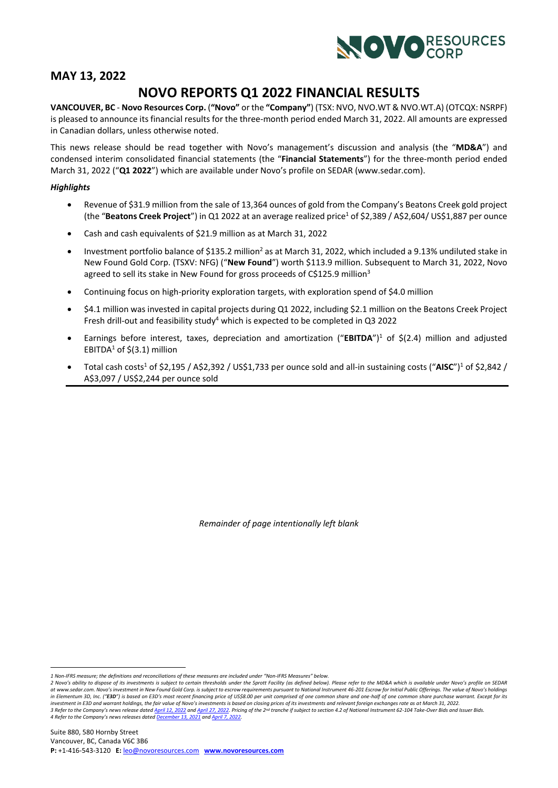<span id="page-0-2"></span><span id="page-0-0"></span>

# **MAY 13, 2022**

# **NOVO REPORTS Q1 2022 FINANCIAL RESULTS**

**VANCOUVER, BC** - **Novo Resources Corp.** (**"Novo"** or the **"Company"**) (TSX: NVO, NVO.WT & NVO.WT.A) (OTCQX: NSRPF) is pleased to announce its financial results for the three-month period ended March 31, 2022. All amounts are expressed in Canadian dollars, unless otherwise noted.

This news release should be read together with Novo's management's discussion and analysis (the "**MD&A**") and condensed interim consolidated financial statements (the "**Financial Statements**") for the three-month period ended March 31, 2022 ("**Q1 2022**") which are available under Novo's profile on SEDAR (www.sedar.com).

# *Highlights*

- Revenue of \$31.9 million from the sale of 13,364 ounces of gold from the Company's Beatons Creek gold project (the "Beatons Creek Project") in Q1 2022 at an average realized price<sup>1</sup> of \$2,389 / A\$2,604/ US\$1,887 per ounce
- Cash and cash equivalents of \$21.9 million as at March 31, 2022
- Investment portfolio balance of \$135.2 million<sup>2</sup> as at March 31, 2022, which included a 9.13% undiluted stake in New Found Gold Corp. (TSXV: NFG) ("**New Found**") worth \$113.9 million. Subsequent to March 31, 2022, Novo agreed to sell its stake in New Found for gross proceeds of C\$125.9 million<sup>3</sup>
- Continuing focus on high-priority exploration targets, with exploration spend of \$4.0 million
- <span id="page-0-1"></span>• \$4.1 million was invested in capital projects during Q1 2022, including \$2.1 million on the Beatons Creek Project Fresh drill-out and feasibility study<sup>4</sup> which is expected to be completed in Q3 2022
- Earnings before interest, taxes, depreciation and amortization ("**EBITDA**")[1](#page-0-0) of \$(2.4) million and adjusted EBITD[A](#page-0-0)<sup>1</sup> of  $$$ (3.1) million
- Total ca[s](#page-0-0)h costs<sup>[1](#page-0-0)</sup> of \$2,195 / A\$2,392 / US\$1,733 per ounce sold and all-in sustaining costs ("AISC")<sup>1</sup> of \$2,842 / A\$3,097 / US\$2,244 per ounce sold

*Remainder of page intentionally left blank*

*<sup>1</sup> Non-IFRS measure; the definitions and reconciliations of these measures are included under "Non-IFRS Measures" below.*

<sup>2</sup> Novo's ability to dispose of its investments is subject to certain thresholds under the Sprott Facility (as defined below). Please refer to the MD&A which is available under Novo's profile on SEDAR at [www.sedar.com](https://www.globenewswire.com/Tracker?data=q-pW281b2ry_k7oRfXNiN7F0StjwsJvagTJyKWhMg0I1vlrMfQSPklPr2d4EoEIZBk3vXZ3u-uEtYZNBqt82XQ==). Novo's investment in New Found Gold Corp. is subject to escrow requirements pursuant to National Instrument 46-201 Escrow for Initial Public Offerings. The value of Novo's holdings in Elementum 3D, Inc. ("E3D") is based on E3D's most recent financing price of US\$8.00 per unit comprised of one common share and one-half of one common share purchase warrant. Except for its *investment in E3D and warrant holdings, the fair value of Novo's investments is based on closing prices of its investments and relevant foreign exchanges rate as at March 31, 2022.* 3 Refer to the Company's news release dated [April 12, 2022](https://novoresources.com/wp-content/uploads/2022/04/220411-Novo-NFG-Sale-News-Release-FINAL.pdf?_ga=2.69117526.614899599.1650922133-441614328.1650922133&_gl=1*4nv8xb*_ga*NDQxNjE0MzI4LjE2NTA5MjIxMzM.*_ga_GZ8D5VXBV5*MTY1MDkyMjEzMi4xLjAuMTY1MDkyMjEzMi4w) an[d April 27, 2022.](https://novoresources.com/wp-content/uploads/2022/04/Novo-NFG-Tranche-1-Completion-FINAL.pdf) Pricing of the 2nd tranche if subject to section 4.2 of National Instrument 62-104 Take-Over Bids and Issuer Bids *4 Refer to the Company's news releases dated [December 13, 2021](https://novoresources.com/wp-content/uploads/2022/01/2021-12-13.pdf) an[d April 7, 2022.](https://novoresources.com/wp-content/uploads/2022/04/Novo-Q1-22-Ops-Update-FINAL.pdf?_ga=2.147866096.614899599.1650922133-441614328.1650922133&_gl=1*18yf6hk*_ga*NDQxNjE0MzI4LjE2NTA5MjIxMzM.*_ga_GZ8D5VXBV5*MTY1MDkyNDE5Ny4yLjAuMTY1MDkyNDE5Ny4w)*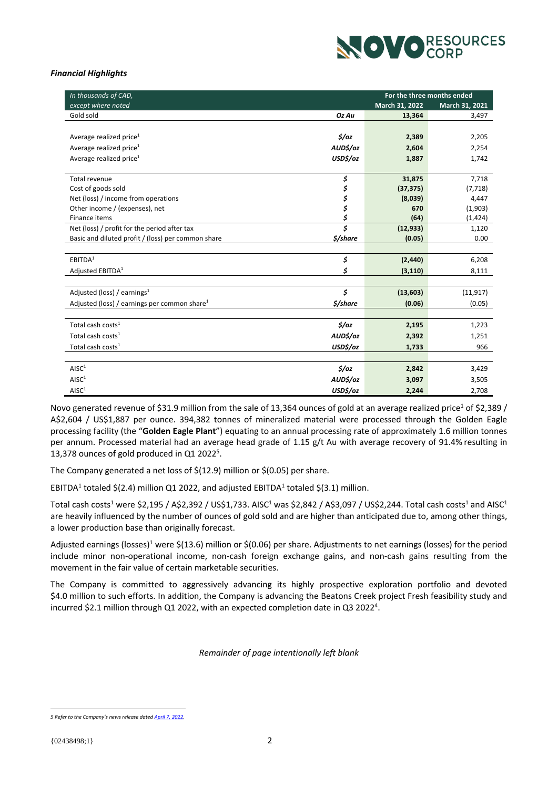

# *Financial Highlights*

| In thousands of CAD,                               | For the three months ended      |                |                |
|----------------------------------------------------|---------------------------------|----------------|----------------|
| except where noted                                 |                                 | March 31, 2022 | March 31, 2021 |
| Gold sold                                          | Oz Au                           | 13,364         | 3,497          |
|                                                    |                                 |                |                |
| Average realized price <sup>1</sup>                | 5/oz                            | 2,389          | 2,205          |
| Average realized price <sup>1</sup>                | AUD\$/oz                        | 2,604          | 2,254          |
| Average realized price $1$                         | USD\$/oz                        | 1,887          | 1,742          |
|                                                    |                                 |                |                |
| <b>Total revenue</b>                               | \$                              | 31,875         | 7,718          |
| Cost of goods sold                                 | \$                              | (37, 375)      | (7, 718)       |
| Net (loss) / income from operations                | \$                              | (8,039)        | 4,447          |
| Other income / (expenses), net                     | \$                              | 670            | (1,903)        |
| Finance items                                      | \$                              | (64)           | (1, 424)       |
| Net (loss) / profit for the period after tax       | $\overline{\boldsymbol{\zeta}}$ | (12, 933)      | 1,120          |
| Basic and diluted profit / (loss) per common share | \$/share                        | (0.05)         | 0.00           |
|                                                    |                                 |                |                |
| EBITDA <sup>1</sup>                                | \$                              | (2, 440)       | 6,208          |
| Adjusted EBITDA <sup>1</sup>                       | \$                              | (3, 110)       | 8,111          |
|                                                    |                                 |                |                |
| Adjusted (loss) / earnings $1$                     | \$                              | (13, 603)      | (11, 917)      |
| Adjusted (loss) / earnings per common share $1$    | \$/share                        | (0.06)         | (0.05)         |
|                                                    |                                 |                |                |
| Total cash costs <sup>1</sup>                      | $\frac{2}{3}$ /0Z               | 2,195          | 1,223          |
| Total cash costs <sup>1</sup>                      | AUD\$/oz                        | 2,392          | 1,251          |
| Total cash costs <sup>1</sup>                      | USD\$/oz                        | 1,733          | 966            |
|                                                    |                                 |                |                |
| AISC <sup>1</sup>                                  | $\frac{2}{3}$ /0z               | 2,842          | 3,429          |
| AISC <sup>1</sup>                                  | AUD\$/oz                        | 3,097          | 3,505          |
| AISC <sup>1</sup>                                  | USD\$/oz                        | 2,244          | 2,708          |

Novo g[e](#page-0-0)nerated revenue of \$31.9 million from the sale of 13,364 ounces of gold at an average realized price<sup>1</sup> of \$2,389 / A\$2,604 / US\$1,887 per ounce. 394,382 tonnes of mineralized material were processed through the Golden Eagle processing facility (the "**Golden Eagle Plant**") equating to an annual processing rate of approximately 1.6 million tonnes per annum. Processed material had an average head grade of 1.15 g/t Au with average recovery of 91.4% resulting in 13,378 ounces of gold produced in Q1 2022<sup>5</sup>.

<span id="page-1-0"></span>The Company generated a net loss of \$(12.9) million or \$(0.05) per share.

EBITD[A](#page-0-0)<sup>1</sup> totaled \$(2.4) million Q1 2022, and adjusted EBITDA<sup>1</sup> totaled \$(3.1) million.

Total cash costs<sup>[1](#page-0-0)</[s](#page-0-0)up> were \$2,195 / A\$2,392 / US\$1,733. AISC<sup>1</sup> was \$2,842 / A\$3,097 / US\$2,244. Total cash costs<sup>1</sup> and AISC<sup>1</sup> are heavily influenced by the number of ounces of gold sold and are higher than anticipated due to, among other things, a lower production base than originally forecast.

Adjusted earnings (losses)<sup>[1](#page-0-0)</sup> were \$(13.6) million or \$(0.06) per share. Adjustments to net earnings (losses) for the period include minor non-operational income, non-cash foreign exchange gains, and non-cash gains resulting from the movement in the fair value of certain marketable securities.

The Company is committed to aggressively advancing its highly prospective exploration portfolio and devoted \$4.0 million to such efforts. In addition, the Company is advancing the Beatons Creek project Fresh feasibility study and incurred \$2.1 million through Q1 2022, with an expected completion date in Q3 2022<sup>[4](#page-0-1)</sup>.

*Remainder of page intentionally left blank*

*5 Refer to the Company's news release dated [April 7, 2022.](https://novoresources.com/wp-content/uploads/2022/04/Novo-Q1-22-Ops-Update-FINAL.pdf?_ga=2.147866096.614899599.1650922133-441614328.1650922133&_gl=1*18yf6hk*_ga*NDQxNjE0MzI4LjE2NTA5MjIxMzM.*_ga_GZ8D5VXBV5*MTY1MDkyNDE5Ny4yLjAuMTY1MDkyNDE5Ny4w)*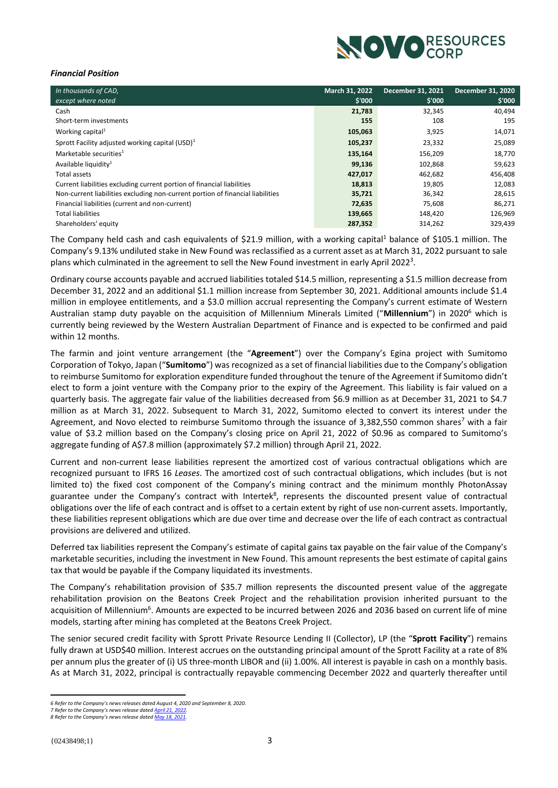<span id="page-2-0"></span>

# *Financial Position*

| In thousands of CAD,                                                           | March 31, 2022 | <b>December 31, 2021</b> | <b>December 31, 2020</b> |
|--------------------------------------------------------------------------------|----------------|--------------------------|--------------------------|
| except where noted                                                             | \$'000         | \$'000                   | \$'000                   |
| Cash                                                                           | 21,783         | 32,345                   | 40,494                   |
| Short-term investments                                                         | 155            | 108                      | 195                      |
| Working capital <sup>1</sup>                                                   | 105,063        | 3,925                    | 14,071                   |
| Sprott Facility adjusted working capital $(USD)^1$                             | 105,237        | 23,332                   | 25,089                   |
| Marketable securities <sup>1</sup>                                             | 135,164        | 156,209                  | 18,770                   |
| Available liquidity <sup>1</sup>                                               | 99,136         | 102,868                  | 59,623                   |
| Total assets                                                                   | 427,017        | 462,682                  | 456,408                  |
| Current liabilities excluding current portion of financial liabilities         | 18,813         | 19,805                   | 12,083                   |
| Non-current liabilities excluding non-current portion of financial liabilities | 35,721         | 36,342                   | 28,615                   |
| Financial liabilities (current and non-current)                                | 72,635         | 75,608                   | 86,271                   |
| <b>Total liabilities</b>                                                       | 139,665        | 148,420                  | 126,969                  |
| Shareholders' equity                                                           | 287,352        | 314,262                  | 329,439                  |

The Company held cash and cash equivalents of \$2[1](#page-0-0).9 million, with a working capital<sup>1</sup> balance of \$105.1 million. The Company's 9.13% undiluted stake in New Found was reclassified as a current asset as at March 31, 2022 pursuant to sale plans which culminated in the agreement to sell the New Found investment in early April [2](#page-0-2)022<sup>3</sup>.

Ordinary course accounts payable and accrued liabilities totaled \$14.5 million, representing a \$1.5 million decrease from December 31, 2022 and an additional \$1.1 million increase from September 30, 2021. Additional amounts include \$1.4 million in employee entitlements, and a \$3.0 million accrual representing the Company's current estimate of Western Australian stamp duty payable on the acquisition of Millennium Minerals Limited ("**Millennium**") in 2020<sup>6</sup> which is currently being reviewed by the Western Australian Department of Finance and is expected to be confirmed and paid within 12 months.

The farmin and joint venture arrangement (the "**Agreement**") over the Company's Egina project with Sumitomo Corporation of Tokyo, Japan ("**Sumitomo**") was recognized as a set of financial liabilities due to the Company's obligation to reimburse Sumitomo for exploration expenditure funded throughout the tenure of the Agreement if Sumitomo didn't elect to form a joint venture with the Company prior to the expiry of the Agreement. This liability is fair valued on a quarterly basis. The aggregate fair value of the liabilities decreased from \$6.9 million as at December 31, 2021 to \$4.7 million as at March 31, 2022. Subsequent to March 31, 2022, Sumitomo elected to convert its interest under the Agreement, and Novo elected to reimburse Sumitomo through the issuance of 3,382,550 common shares<sup>7</sup> with a fair value of \$3.2 million based on the Company's closing price on April 21, 2022 of \$0.96 as compared to Sumitomo's aggregate funding of A\$7.8 million (approximately \$7.2 million) through April 21, 2022.

Current and non-current lease liabilities represent the amortized cost of various contractual obligations which are recognized pursuant to IFRS 16 *Leases*. The amortized cost of such contractual obligations, which includes (but is not limited to) the fixed cost component of the Company's mining contract and the minimum monthly PhotonAssay guarantee under the Company's contract with Intertek<sup>8</sup>, represents the discounted present value of contractual obligations over the life of each contract and is offset to a certain extent by right of use non-current assets. Importantly, these liabilities represent obligations which are due over time and decrease over the life of each contract as contractual provisions are delivered and utilized.

Deferred tax liabilities represent the Company's estimate of capital gains tax payable on the fair value of the Company's marketable securities, including the investment in New Found. This amount represents the best estimate of capital gains tax that would be payable if the Company liquidated its investments.

The Company's rehabilitation provision of \$35.7 million represents the discounted present value of the aggregate rehabilitation provision on the Beatons Creek Project and the rehabilitation provision inherited pursuant to the acquisition of Millennium<sup>[6](#page-2-0)</sup>. Amounts are expected to be incurred between 2026 and 2036 based on current life of mine models, starting after mining has completed at the Beatons Creek Project.

The senior secured credit facility with Sprott Private Resource Lending II (Collector), LP (the "**Sprott Facility**") remains fully drawn at USD\$40 million. Interest accrues on the outstanding principal amount of the Sprott Facility at a rate of 8% per annum plus the greater of (i) US three-month LIBOR and (ii) 1.00%. All interest is payable in cash on a monthly basis. As at March 31, 2022, principal is contractually repayable commencing December 2022 and quarterly thereafter until

*<sup>6</sup> Refer to the Company's news releases dated August 4, 2020 and September 8, 2020.*

*<sup>7</sup> Refer to the Company's news release dated [April 21, 2022.](https://novoresources.com/wp-content/uploads/2022/04/Novo-News-Release-Egina-JV-Completion-FINAL.pdf?_ga=2.164517564.2074470746.1651979557-441614328.1650922133&_gl=1*1l3rulz*_ga*NDQxNjE0MzI4LjE2NTA5MjIxMzM.*_ga_GZ8D5VXBV5*MTY1MTk3OTU1Ni44LjEuMTY1MTk4MTAyNi4w)  8 Refer to the Company's news release dated [May 18, 2021.](https://novoresources.com/wp-content/uploads/2022/01/2021-05-18.pdf)*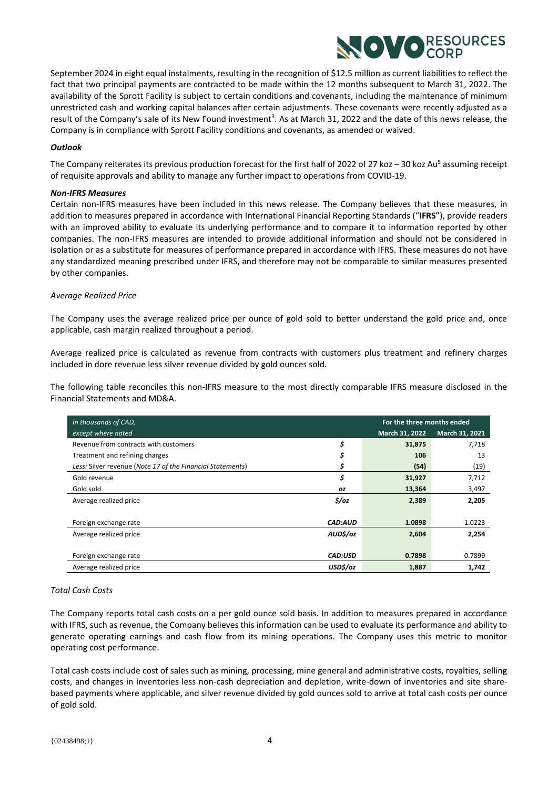

September 2024 in eight equal instalments, resulting in the recognition of \$12.5 million as current liabilities to reflect the fact that two principal payments are contracted to be made within the 12 months subsequent to March 31, 2022. The availability of the Sprott Facility is subject to certain conditions and covenants, including the maintenance of minimum unrestricted cash and working capital balances after certain adjustments. These covenants were recently adjusted as a result of the Company's sale of its New Found investment<sup>[3](#page-0-2)</sup>. As at March 31, 2022 and the date of this news release, the Company is in compliance with Sprott Facility conditions and covenants, as amended or waived.

# *Outlook*

The Company reiterates its previo[u](#page-1-0)s production forecast for the first half of 2022 of 27 koz – 30 koz Au<sup>5</sup> assuming receipt of requisite approvals and ability to manage any further impact to operations from COVID-19.

# *Non-IFRS Measures*

Certain non-IFRS measures have been included in this news release. The Company believes that these measures, in addition to measures prepared in accordance with International Financial Reporting Standards ("**IFRS**"), provide readers with an improved ability to evaluate its underlying performance and to compare it to information reported by other companies. The non-IFRS measures are intended to provide additional information and should not be considered in isolation or as a substitute for measures of performance prepared in accordance with IFRS. These measures do not have any standardized meaning prescribed under IFRS, and therefore may not be comparable to similar measures presented by other companies.

# *Average Realized Price*

The Company uses the average realized price per ounce of gold sold to better understand the gold price and, once applicable, cash margin realized throughout a period.

Average realized price is calculated as revenue from contracts with customers plus treatment and refinery charges included in dore revenue less silver revenue divided by gold ounces sold.

The following table reconciles this non-IFRS measure to the most directly comparable IFRS measure disclosed in the Financial Statements and MD&A.

| In thousands of CAD,                                       | For the three months ended |                |                |
|------------------------------------------------------------|----------------------------|----------------|----------------|
| except where noted                                         |                            | March 31, 2022 | March 31, 2021 |
| Revenue from contracts with customers                      | \$                         | 31,875         | 7,718          |
| Treatment and refining charges                             | \$                         | 106            | 13             |
| Less: Silver revenue (Note 17 of the Financial Statements) |                            | (54)           | (19)           |
| Gold revenue                                               | \$                         | 31,927         | 7,712          |
| Gold sold                                                  | 0Z                         | 13,364         | 3,497          |
| Average realized price                                     | $\frac{2}{3}$ /0z          | 2,389          | 2,205          |
|                                                            |                            |                |                |
| Foreign exchange rate                                      | <b>CAD:AUD</b>             | 1.0898         | 1.0223         |
| Average realized price                                     | AUD\$/oz                   | 2,604          | 2,254          |
|                                                            |                            |                |                |
| Foreign exchange rate                                      | <b>CAD:USD</b>             | 0.7898         | 0.7899         |
| Average realized price                                     | USD\$/oz                   | 1,887          | 1,742          |

#### *Total Cash Costs*

The Company reports total cash costs on a per gold ounce sold basis. In addition to measures prepared in accordance with IFRS, such as revenue, the Company believes this information can be used to evaluate its performance and ability to generate operating earnings and cash flow from its mining operations. The Company uses this metric to monitor operating cost performance.

Total cash costs include cost of sales such as mining, processing, mine general and administrative costs, royalties, selling costs, and changes in inventories less non-cash depreciation and depletion, write-down of inventories and site sharebased payments where applicable, and silver revenue divided by gold ounces sold to arrive at total cash costs per ounce of gold sold.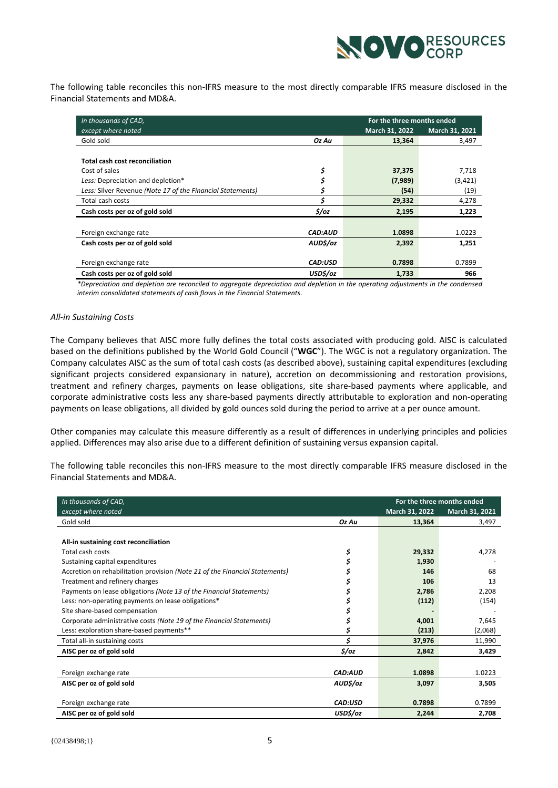

The following table reconciles this non-IFRS measure to the most directly comparable IFRS measure disclosed in the Financial Statements and MD&A.

| In thousands of CAD,                                       | For the three months ended |                |                |
|------------------------------------------------------------|----------------------------|----------------|----------------|
| except where noted                                         |                            | March 31, 2022 | March 31, 2021 |
| Gold sold                                                  | Oz Au                      | 13,364         | 3,497          |
|                                                            |                            |                |                |
| <b>Total cash cost reconciliation</b>                      |                            |                |                |
| Cost of sales                                              | \$                         | 37,375         | 7,718          |
| Less: Depreciation and depletion*                          |                            | (7,989)        | (3, 421)       |
| Less: Silver Revenue (Note 17 of the Financial Statements) |                            | (54)           | (19)           |
| Total cash costs                                           | Ś                          | 29,332         | 4,278          |
| Cash costs per oz of gold sold                             | $\frac{2}{3}$ /0z          | 2,195          | 1,223          |
|                                                            |                            |                |                |
| Foreign exchange rate                                      | <b>CAD:AUD</b>             | 1.0898         | 1.0223         |
| Cash costs per oz of gold sold                             | AUD\$/oz                   | 2,392          | 1,251          |
|                                                            |                            |                |                |
| Foreign exchange rate                                      | <b>CAD:USD</b>             | 0.7898         | 0.7899         |
| Cash costs per oz of gold sold                             | USD\$/oz                   | 1,733          | 966            |

*\*Depreciation and depletion are reconciled to aggregate depreciation and depletion in the operating adjustments in the condensed interim consolidated statements of cash flows in the Financial Statements.*

#### *All-in Sustaining Costs*

The Company believes that AISC more fully defines the total costs associated with producing gold. AISC is calculated based on the definitions published by the World Gold Council ("**WGC**"). The WGC is not a regulatory organization. The Company calculates AISC as the sum of total cash costs (as described above), sustaining capital expenditures (excluding significant projects considered expansionary in nature), accretion on decommissioning and restoration provisions, treatment and refinery charges, payments on lease obligations, site share-based payments where applicable, and corporate administrative costs less any share-based payments directly attributable to exploration and non-operating payments on lease obligations, all divided by gold ounces sold during the period to arrive at a per ounce amount.

Other companies may calculate this measure differently as a result of differences in underlying principles and policies applied. Differences may also arise due to a different definition of sustaining versus expansion capital.

The following table reconciles this non-IFRS measure to the most directly comparable IFRS measure disclosed in the Financial Statements and MD&A.

| In thousands of CAD,                                                        | For the three months ended |                |                |
|-----------------------------------------------------------------------------|----------------------------|----------------|----------------|
| except where noted                                                          |                            | March 31, 2022 | March 31, 2021 |
| Gold sold                                                                   | Oz Au                      | 13,364         | 3,497          |
|                                                                             |                            |                |                |
| All-in sustaining cost reconciliation                                       |                            |                |                |
| Total cash costs                                                            | \$                         | 29,332         | 4,278          |
| Sustaining capital expenditures                                             |                            | 1.930          |                |
| Accretion on rehabilitation provision (Note 21 of the Financial Statements) |                            | 146            | 68             |
| Treatment and refinery charges                                              |                            | 106            | 13             |
| Payments on lease obligations (Note 13 of the Financial Statements)         |                            | 2,786          | 2,208          |
| Less: non-operating payments on lease obligations*                          |                            | (112)          | (154)          |
| Site share-based compensation                                               |                            |                |                |
| Corporate administrative costs (Note 19 of the Financial Statements)        |                            | 4,001          | 7,645          |
| Less: exploration share-based payments**                                    |                            | (213)          | (2,068)        |
| Total all-in sustaining costs                                               | Ś                          | 37,976         | 11,990         |
| AISC per oz of gold sold                                                    | $\frac{2}{3}$ /0z          | 2.842          | 3,429          |
|                                                                             |                            |                |                |
| Foreign exchange rate                                                       | CAD:AUD                    | 1.0898         | 1.0223         |
| AISC per oz of gold sold                                                    | AUD\$/oz                   | 3,097          | 3,505          |
|                                                                             |                            |                |                |
| Foreign exchange rate                                                       | CAD:USD                    | 0.7898         | 0.7899         |
| AISC per oz of gold sold                                                    | USD\$/oz                   | 2,244          | 2,708          |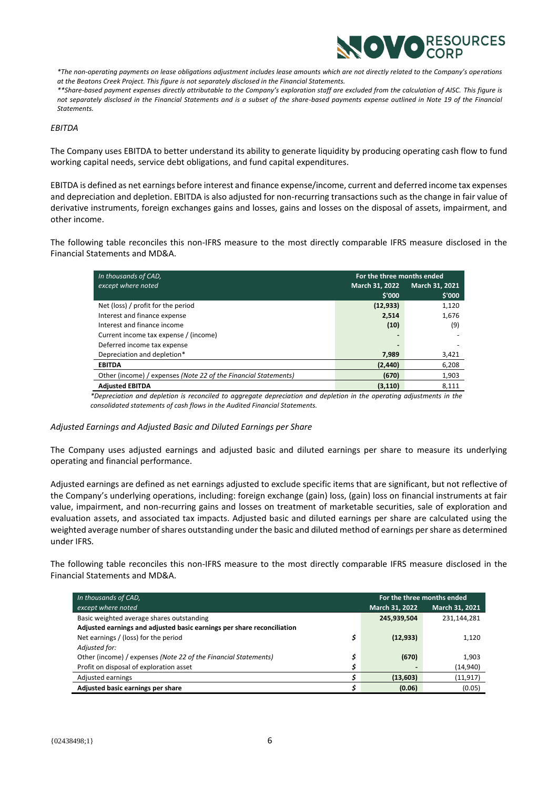

*\*The non-operating payments on lease obligations adjustment includes lease amounts which are not directly related to the Company's operations at the Beatons Creek Project. This figure is not separately disclosed in the Financial Statements.* 

*\*\*Share-based payment expenses directly attributable to the Company's exploration staff are excluded from the calculation of AISC. This figure is not separately disclosed in the Financial Statements and is a subset of the share-based payments expense outlined in Note 19 of the Financial Statements.* 

#### *EBITDA*

The Company uses EBITDA to better understand its ability to generate liquidity by producing operating cash flow to fund working capital needs, service debt obligations, and fund capital expenditures.

EBITDA is defined as net earnings before interest and finance expense/income, current and deferred income tax expenses and depreciation and depletion. EBITDA is also adjusted for non-recurring transactions such as the change in fair value of derivative instruments, foreign exchanges gains and losses, gains and losses on the disposal of assets, impairment, and other income.

The following table reconciles this non-IFRS measure to the most directly comparable IFRS measure disclosed in the Financial Statements and MD&A.

| In thousands of CAD,                                            | For the three months ended |                |
|-----------------------------------------------------------------|----------------------------|----------------|
| except where noted                                              | <b>March 31, 2022</b>      | March 31, 2021 |
|                                                                 | \$'000                     | \$'000         |
| Net (loss) / profit for the period                              | (12, 933)                  | 1,120          |
| Interest and finance expense                                    | 2,514                      | 1,676          |
| Interest and finance income                                     | (10)                       | (9)            |
| Current income tax expense / (income)                           |                            |                |
| Deferred income tax expense                                     |                            |                |
| Depreciation and depletion*                                     | 7.989                      | 3,421          |
| <b>EBITDA</b>                                                   | (2, 440)                   | 6,208          |
| Other (income) / expenses (Note 22 of the Financial Statements) | (670)                      | 1,903          |
| <b>Adiusted EBITDA</b>                                          | (3, 110)                   | 8,111          |

*\*Depreciation and depletion is reconciled to aggregate depreciation and depletion in the operating adjustments in the consolidated statements of cash flows in the Audited Financial Statements.*

#### *Adjusted Earnings and Adjusted Basic and Diluted Earnings per Share*

The Company uses adjusted earnings and adjusted basic and diluted earnings per share to measure its underlying operating and financial performance.

Adjusted earnings are defined as net earnings adjusted to exclude specific items that are significant, but not reflective of the Company's underlying operations, including: foreign exchange (gain) loss, (gain) loss on financial instruments at fair value, impairment, and non-recurring gains and losses on treatment of marketable securities, sale of exploration and evaluation assets, and associated tax impacts. Adjusted basic and diluted earnings per share are calculated using the weighted average number of shares outstanding under the basic and diluted method of earnings per share as determined under IFRS.

The following table reconciles this non-IFRS measure to the most directly comparable IFRS measure disclosed in the Financial Statements and MD&A.

| In thousands of CAD,                                                   |                | For the three months ended |
|------------------------------------------------------------------------|----------------|----------------------------|
| except where noted                                                     | March 31, 2022 | March 31, 2021             |
| Basic weighted average shares outstanding                              | 245,939,504    | 231,144,281                |
| Adjusted earnings and adjusted basic earnings per share reconciliation |                |                            |
| Net earnings / (loss) for the period                                   | (12, 933)      | 1,120                      |
| Adjusted for:                                                          |                |                            |
| Other (income) / expenses (Note 22 of the Financial Statements)<br>\$. | (670)          | 1,903                      |
| Profit on disposal of exploration asset                                |                | (14, 940)                  |
| Adjusted earnings                                                      | (13,603)       | (11, 917)                  |
| Adjusted basic earnings per share                                      | (0.06)         | (0.05)                     |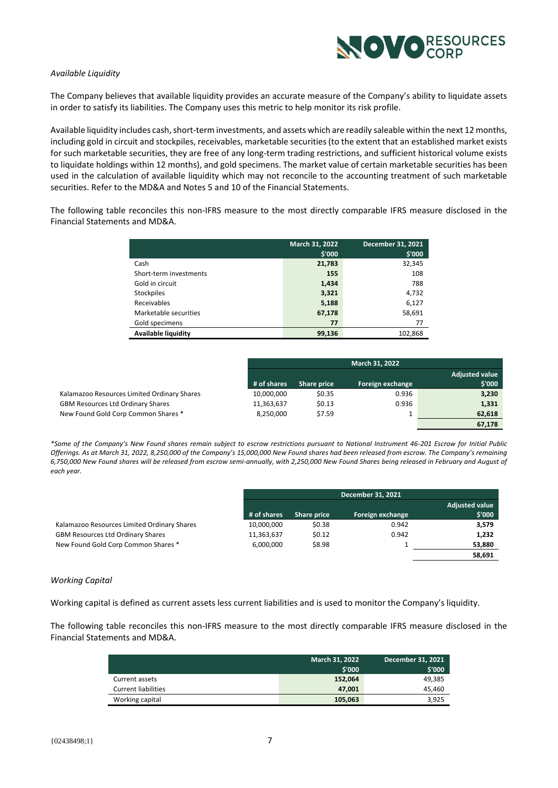

# *Available Liquidity*

The Company believes that available liquidity provides an accurate measure of the Company's ability to liquidate assets in order to satisfy its liabilities. The Company uses this metric to help monitor its risk profile.

Available liquidity includes cash, short-term investments, and assets which are readily saleable within the next 12 months, including gold in circuit and stockpiles, receivables, marketable securities (to the extent that an established market exists for such marketable securities, they are free of any long-term trading restrictions, and sufficient historical volume exists to liquidate holdings within 12 months), and gold specimens. The market value of certain marketable securities has been used in the calculation of available liquidity which may not reconcile to the accounting treatment of such marketable securities. Refer to the MD&A and Notes 5 and 10 of the Financial Statements.

The following table reconciles this non-IFRS measure to the most directly comparable IFRS measure disclosed in the Financial Statements and MD&A.

|                            | March 31, 2022<br>\$'000 | December 31, 2021<br>\$'000 |
|----------------------------|--------------------------|-----------------------------|
|                            |                          |                             |
| Cash                       | 21,783                   | 32,345                      |
| Short-term investments     | 155                      | 108                         |
| Gold in circuit            | 1,434                    | 788                         |
| <b>Stockpiles</b>          | 3,321                    | 4,732                       |
| Receivables                | 5,188                    | 6,127                       |
| Marketable securities      | 67,178                   | 58,691                      |
| Gold specimens             | 77                       | 77                          |
| <b>Available liquidity</b> | 99,136                   | 102,868                     |

|                                             |             | March 31, 2022 |                  |                                 |
|---------------------------------------------|-------------|----------------|------------------|---------------------------------|
|                                             | # of shares | Share price    | Foreign exchange | <b>Adjusted value</b><br>\$'000 |
| Kalamazoo Resources Limited Ordinary Shares | 10,000,000  | \$0.35         | 0.936            | 3,230                           |
| <b>GBM Resources Ltd Ordinary Shares</b>    | 11,363,637  | \$0.13         | 0.936            | 1,331                           |
| New Found Gold Corp Common Shares *         | 8,250,000   | \$7.59         |                  | 62,618                          |
|                                             |             |                |                  | 67.178                          |

*\*Some of the Company's New Found shares remain subject to escrow restrictions pursuant to National Instrument 46-201 Escrow for Initial Public Offerings. As at March 31, 2022, 8,250,000 of the Company's 15,000,000 New Found shares had been released from escrow. The Company's remaining 6,750,000 New Found shares will be released from escrow semi-annually, with 2,250,000 New Found Shares being released in February and August of each year.*

|                                             |             | <b>December 31, 2021</b> |                  |                                 |
|---------------------------------------------|-------------|--------------------------|------------------|---------------------------------|
|                                             | # of shares | Share price              | Foreign exchange | <b>Adjusted value</b><br>\$'000 |
| Kalamazoo Resources Limited Ordinary Shares | 10,000,000  | \$0.38                   | 0.942            | 3,579                           |
| <b>GBM Resources Ltd Ordinary Shares</b>    | 11,363,637  | \$0.12                   | 0.942            | 1,232                           |
| New Found Gold Corp Common Shares *         | 6.000.000   | \$8.98                   |                  | 53,880                          |
|                                             |             |                          |                  | 58,691                          |

#### *Working Capital*

Working capital is defined as current assets less current liabilities and is used to monitor the Company's liquidity.

The following table reconciles this non-IFRS measure to the most directly comparable IFRS measure disclosed in the Financial Statements and MD&A.

|                            | <b>March 31, 2022</b><br>\$'000 | December 31, 2021<br>\$'000 |
|----------------------------|---------------------------------|-----------------------------|
| Current assets             | 152,064                         | 49,385                      |
| <b>Current liabilities</b> | 47.001                          | 45,460                      |
| Working capital            | 105,063                         | 3.925                       |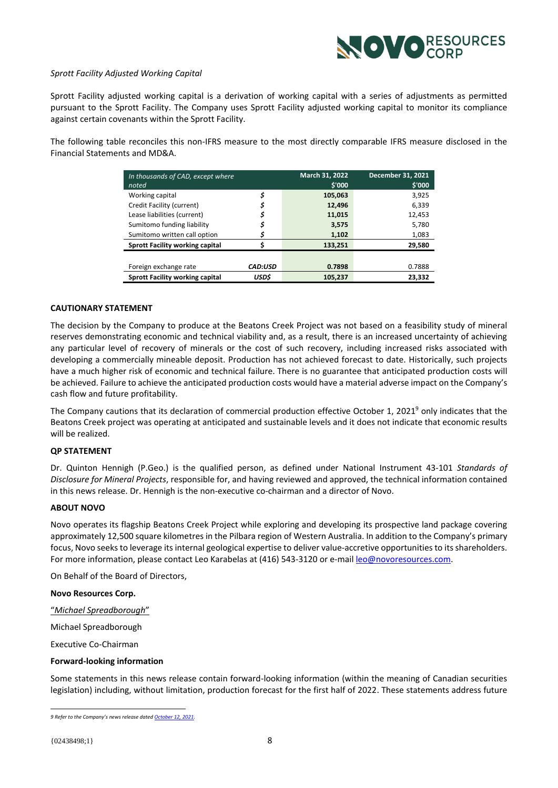

# *Sprott Facility Adjusted Working Capital*

Sprott Facility adjusted working capital is a derivation of working capital with a series of adjustments as permitted pursuant to the Sprott Facility. The Company uses Sprott Facility adjusted working capital to monitor its compliance against certain covenants within the Sprott Facility.

The following table reconciles this non-IFRS measure to the most directly comparable IFRS measure disclosed in the Financial Statements and MD&A.

| In thousands of CAD, except where<br>noted |                | March 31, 2022<br>\$'000 | December 31, 2021<br>\$'000 |
|--------------------------------------------|----------------|--------------------------|-----------------------------|
| Working capital                            | \$             | 105,063                  | 3,925                       |
| Credit Facility (current)                  |                | 12,496                   | 6,339                       |
| Lease liabilities (current)                |                | 11,015                   | 12,453                      |
| Sumitomo funding liability                 |                | 3,575                    | 5.780                       |
| Sumitomo written call option               |                | 1,102                    | 1,083                       |
|                                            |                |                          |                             |
| <b>Sprott Facility working capital</b>     |                | 133,251                  | 29,580                      |
|                                            |                |                          |                             |
| Foreign exchange rate                      | <b>CAD:USD</b> | 0.7898                   | 0.7888                      |
| <b>Sprott Facility working capital</b>     | USD\$          | 105,237                  | 23,332                      |

# **CAUTIONARY STATEMENT**

The decision by the Company to produce at the Beatons Creek Project was not based on a feasibility study of mineral reserves demonstrating economic and technical viability and, as a result, there is an increased uncertainty of achieving any particular level of recovery of minerals or the cost of such recovery, including increased risks associated with developing a commercially mineable deposit. Production has not achieved forecast to date. Historically, such projects have a much higher risk of economic and technical failure. There is no guarantee that anticipated production costs will be achieved. Failure to achieve the anticipated production costs would have a material adverse impact on the Company's cash flow and future profitability.

The Company cautions that its declaration of commercial production effective October 1, 2021<sup>9</sup> only indicates that the Beatons Creek project was operating at anticipated and sustainable levels and it does not indicate that economic results will be realized.

#### **QP STATEMENT**

Dr. Quinton Hennigh (P.Geo.) is the qualified person, as defined under National Instrument 43-101 *Standards of Disclosure for Mineral Projects*, responsible for, and having reviewed and approved, the technical information contained in this news release. Dr. Hennigh is the non-executive co-chairman and a director of Novo.

# **ABOUT NOVO**

Novo operates its flagship Beatons Creek Project while exploring and developing its prospective land package covering approximately 12,500 square kilometres in the Pilbara region of Western Australia. In addition to the Company's primary focus, Novo seeks to leverage its internal geological expertise to deliver value-accretive opportunities to its shareholders. For more information, please contact Leo Karabelas at (416) 543-3120 or e-mai[l leo@novoresources.com.](about:blank)

On Behalf of the Board of Directors,

**Novo Resources Corp.**

"*Michael Spreadborough*"

Michael Spreadborough

Executive Co-Chairman

#### **Forward-looking information**

Some statements in this news release contain forward-looking information (within the meaning of Canadian securities legislation) including, without limitation, production forecast for the first half of 2022. These statements address future

*<sup>9</sup> Refer to the Company's news release dated [October 12, 2021.](https://novoresources.com/wp-content/uploads/2022/01/2021-10-12-1.pdf)*